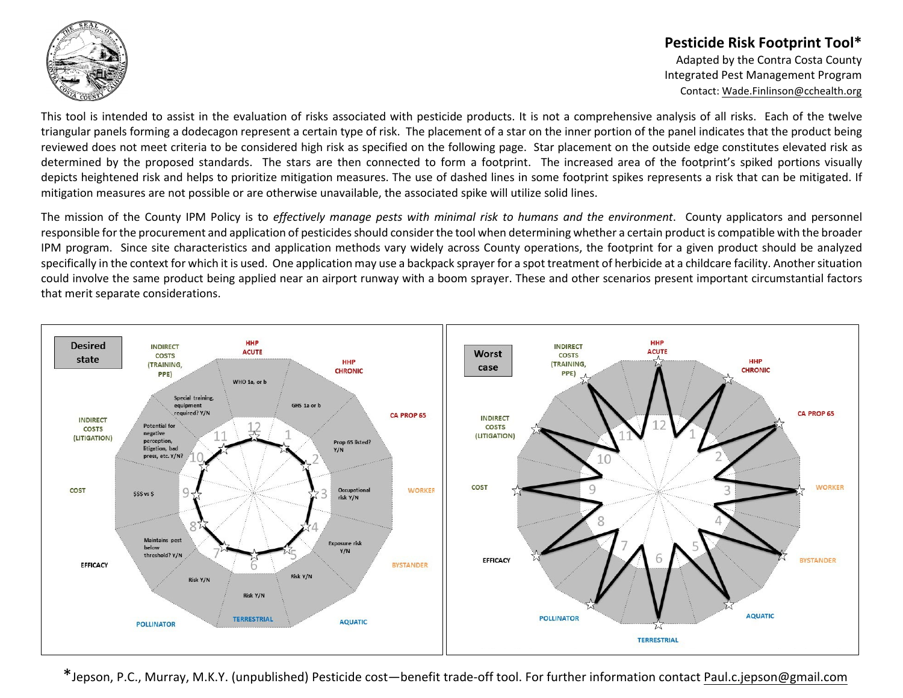

## **Pesticide Risk Footprint Tool\***

Adapted by the Contra Costa County Integrated Pest Management Program Contact: [Wade.Finlinson@cchealth.org](mailto:wade.finlinson@cchealth.org)

This tool is intended to assist in the evaluation of risks associated with pesticide products. It is not a comprehensive analysis of all risks. Each of the twelve triangular panels forming a dodecagon represent a certain type of risk. The placement of a star on the inner portion of the panel indicates that the product being reviewed does not meet criteria to be considered high risk as specified on the following page. Star placement on the outside edge constitutes elevated risk as determined by the proposed standards. The stars are then connected to form a footprint. The increased area of the footprint's spiked portions visually depicts heightened risk and helps to prioritize mitigation measures. The use of dashed lines in some footprint spikes represents a risk that can be mitigated. If mitigation measures are not possible or are otherwise unavailable, the associated spike will utilize solid lines.

The mission of the County IPM Policy is to *effectively manage pests with minimal risk to humans and the environment*. County applicators and personnel responsible for the procurement and application of pesticides should consider the tool when determining whether a certain product is compatible with the broader IPM program. Since site characteristics and application methods vary widely across County operations, the footprint for a given product should be analyzed specifically in the context for which it is used. One application may use a backpack sprayer for a spot treatment of herbicide at a childcare facility. Another situation could involve the same product being applied near an airport runway with a boom sprayer. These and other scenarios present important circumstantial factors that merit separate considerations.



\*Jepson, P.C., Murray, M.K.Y. (unpublished) Pesticide cost—benefit trade-off tool. For further information contact <Paul.c.jepson@gmail.com>